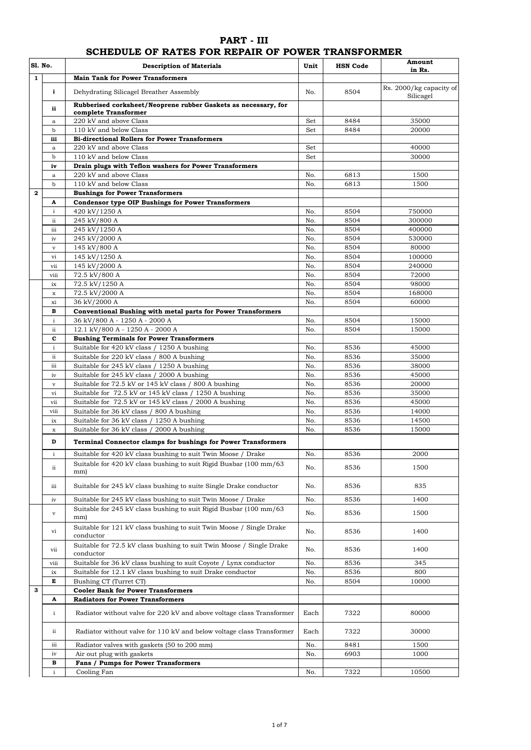## **PART - III**

## **SCHEDULE OF RATES FOR REPAIR OF POWER TRANSFORMER**

| S1. No.      |              | <b>Description of Materials</b>                                                         | Unit       | <b>HSN Code</b> | Amount<br>in Rs.                     |
|--------------|--------------|-----------------------------------------------------------------------------------------|------------|-----------------|--------------------------------------|
| $\mathbf{1}$ |              | <b>Main Tank for Power Transformers</b>                                                 |            |                 |                                      |
|              | i            | Dehydrating Silicagel Breather Assembly                                                 | No.        | 8504            | Rs. 2000/kg capacity of<br>Silicagel |
|              | ii           | Rubberised corksheet/Neoprene rubber Gaskets as necessary, for                          |            |                 |                                      |
|              |              | complete Transformer<br>220 kV and above Class                                          |            |                 |                                      |
|              | a<br>b       | 110 kV and below Class                                                                  | Set<br>Set | 8484<br>8484    | 35000<br>20000                       |
|              | iii          | <b>Bi-directional Rollers for Power Transformers</b>                                    |            |                 |                                      |
|              | a            | 220 kV and above Class                                                                  | Set        |                 | 40000                                |
|              | $\mathbf b$  | 110 kV and below Class                                                                  | Set        |                 | 30000                                |
|              | iv           | Drain plugs with Teflon washers for Power Transformers                                  |            |                 |                                      |
|              | $\mathbf{a}$ | 220 kV and above Class                                                                  | No.        | 6813            | 1500                                 |
|              | b            | 110 kV and below Class                                                                  | No.        | 6813            | 1500                                 |
| $\mathbf{2}$ |              | <b>Bushings for Power Transformers</b>                                                  |            |                 |                                      |
|              | A            | <b>Condensor type OIP Bushings for Power Transformers</b>                               |            |                 |                                      |
|              | $\mathbf{i}$ | 420 kV/1250 A                                                                           | No.        | 8504            | 750000                               |
|              | ii           | 245 kV/800 A                                                                            | No.        | 8504            | 300000                               |
|              | iii<br>iv    | 245 kV/1250 A<br>245 kV/2000 A                                                          | No.<br>No. | 8504<br>8504    | 400000<br>530000                     |
|              | $\mathbf{V}$ | 145 kV/800 A                                                                            | No.        | 8504            | 80000                                |
|              | vi           | 145 kV/1250 A                                                                           | No.        | 8504            | 100000                               |
|              | vii          | 145 kV/2000 A                                                                           | No.        | 8504            | 240000                               |
|              | viii         | 72.5 kV/800 A                                                                           | No.        | 8504            | 72000                                |
|              | ix           | 72.5 kV/1250 A                                                                          | No.        | 8504            | 98000                                |
|              | $\mathbf x$  | 72.5 kV/2000 A                                                                          | No.        | 8504            | 168000                               |
|              | xi           | 36 kV/2000 A                                                                            | No.        | 8504            | 60000                                |
|              | в            | Conventional Bushing with metal parts for Power Transformers                            |            |                 |                                      |
|              | $\mathbf{i}$ | 36 kV/800 A - 1250 A - 2000 A                                                           | No.        | 8504            | 15000                                |
|              | ii           | 12.1 kV/800 A - 1250 A - 2000 A                                                         | No.        | 8504            | 15000                                |
|              | C            | <b>Bushing Terminals for Power Transformers</b>                                         |            |                 |                                      |
|              | $\rm i$      | Suitable for 420 kV class / 1250 A bushing                                              | No.<br>No. | 8536<br>8536    | 45000<br>35000                       |
|              | ii<br>iii    | Suitable for 220 kV class / 800 A bushing<br>Suitable for 245 kV class / 1250 A bushing | No.        | 8536            | 38000                                |
|              | iv           | Suitable for 245 kV class / 2000 A bushing                                              | No.        | 8536            | 45000                                |
|              | $\mathbf{V}$ | Suitable for 72.5 kV or 145 kV class / 800 A bushing                                    | No.        | 8536            | 20000                                |
|              | vi           | Suitable for 72.5 kV or 145 kV class / 1250 A bushing                                   | No.        | 8536            | 35000                                |
|              | vii          | Suitable for 72.5 kV or 145 kV class / 2000 A bushing                                   | No.        | 8536            | 45000                                |
|              | viii         | Suitable for 36 kV class / 800 A bushing                                                | No.        | 8536            | 14000                                |
|              | ix           | Suitable for 36 kV class / 1250 A bushing                                               | No.        | 8536            | 14500                                |
|              | x            | Suitable for 36 kV class / 2000 A bushing                                               | No.        | 8536            | 15000                                |
|              | D            | Terminal Connector clamps for bushings for Power Transformers                           |            |                 |                                      |
|              | $\mathbf{i}$ | Suitable for 420 kV class bushing to suit Twin Moose / Drake                            | No.        | 8536            | 2000                                 |
|              | ii           | Suitable for 420 kV class bushing to suit Rigid Busbar (100 mm/63)<br>mm)               | No.        | 8536            | 1500                                 |
|              | iii          | Suitable for 245 kV class bushing to suite Single Drake conductor                       | No.        | 8536            | 835                                  |
|              | iv           | Suitable for 245 kV class bushing to suit Twin Moose / Drake                            | No.        | 8536            | 1400                                 |
|              | $\mathbf{V}$ | Suitable for 245 kV class bushing to suit Rigid Busbar (100 mm/63)<br>mm)               | No.        | 8536            | 1500                                 |
|              | vi           | Suitable for 121 kV class bushing to suit Twin Moose / Single Drake<br>conductor        | No.        | 8536            | 1400                                 |
|              | vii          | Suitable for 72.5 kV class bushing to suit Twin Moose / Single Drake<br>conductor       | No.        | 8536            | 1400                                 |
|              | viii         | Suitable for 36 kV class bushing to suit Coyote / Lynx conductor                        | No.        | 8536            | 345                                  |
|              | ix           | Suitable for 12.1 kV class bushing to suit Drake conductor                              | No.        | 8536            | 800                                  |
|              | Е            | Bushing CT (Turret CT)                                                                  | No.        | 8504            | 10000                                |
| з            |              | <b>Cooler Bank for Power Transformers</b>                                               |            |                 |                                      |
|              | A            | <b>Radiators for Power Transformers</b>                                                 |            |                 |                                      |
|              | $\mathbf{i}$ | Radiator without valve for 220 kV and above voltage class Transformer                   | Each       | 7322            | 80000                                |
|              | ii           | Radiator without valve for 110 kV and below voltage class Transformer                   | Each       | 7322            | 30000                                |
|              | iii          | Radiator valves with gaskets (50 to 200 mm)                                             | No.        | 8481            | 1500                                 |
|              | iv           | Air out plug with gaskets                                                               | No.        | 6903            | 1000                                 |
|              | в            | <b>Fans / Pumps for Power Transformers</b>                                              |            |                 |                                      |
|              | $\mathbf{i}$ | Cooling Fan                                                                             | No.        | 7322            | 10500                                |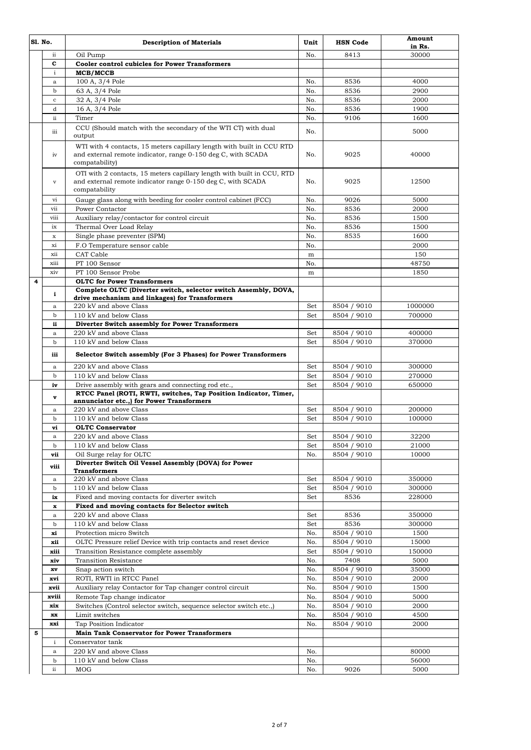| Sl. No. |              | <b>Description of Materials</b>                                                                                                                         | Unit       | <b>HSN Code</b>            | Amount<br>in Rs. |
|---------|--------------|---------------------------------------------------------------------------------------------------------------------------------------------------------|------------|----------------------------|------------------|
|         | ii           | Oil Pump                                                                                                                                                | No.        | 8413                       | 30000            |
|         | C            | <b>Cooler control cubicles for Power Transformers</b>                                                                                                   |            |                            |                  |
|         | i            | MCB/MCCB                                                                                                                                                |            |                            |                  |
|         | a            | 100 A, 3/4 Pole                                                                                                                                         | No.        | 8536                       | 4000             |
|         | $\mathbf b$  | 63 A, 3/4 Pole                                                                                                                                          | No.        | 8536                       | 2900             |
|         | $\mathbf c$  | 32 A, 3/4 Pole                                                                                                                                          | No.        | 8536                       | 2000             |
|         | d<br>ii      | 16 A, 3/4 Pole                                                                                                                                          | No.<br>No. | 8536<br>9106               | 1900<br>1600     |
|         |              | Timer<br>CCU (Should match with the secondary of the WTI CT) with dual                                                                                  |            |                            |                  |
|         | iii          | output                                                                                                                                                  | No.        |                            | 5000             |
|         | iv           | WTI with 4 contacts, 15 meters capillary length with built in CCU RTD<br>and external remote indicator, range 0-150 deg C, with SCADA<br>compatability) | No.        | 9025                       | 40000            |
|         | $\rm{v}$     | OTI with 2 contacts, 15 meters capillary length with built in CCU, RTD<br>and external remote indicator range 0-150 deg C, with SCADA<br>compatability  | No.        | 9025                       | 12500            |
|         | vi           | Gauge glass along with beeding for cooler control cabinet (FCC)                                                                                         | No.        | 9026                       | 5000             |
|         | vii          | Power Contactor                                                                                                                                         | No.        | 8536                       | 2000             |
|         | viii<br>ix   | Auxiliary relay/contactor for control circuit<br>Thermal Over Load Relay                                                                                | No.<br>No. | 8536<br>8536               | 1500<br>1500     |
|         | x            | Single phase preventer (SPM)                                                                                                                            | No.        | 8535                       | 1600             |
|         | xi           | F.O Temperature sensor cable                                                                                                                            | No.        |                            | 2000             |
|         | xii          | CAT Cable                                                                                                                                               | m          |                            | 150              |
|         | xiii         | PT 100 Sensor                                                                                                                                           | No.        |                            | 48750            |
|         | xiv          | PT 100 Sensor Probe                                                                                                                                     | m          |                            | 1850             |
| 4       |              | <b>OLTC</b> for Power Transformers                                                                                                                      |            |                            |                  |
|         | i            | Complete OLTC (Diverter switch, selector switch Assembly, DOVA,                                                                                         |            |                            |                  |
|         | a            | drive mechanism and linkages) for Transformers<br>220 kV and above Class                                                                                | Set        | 8504 / 9010                | 1000000          |
|         | b            | 110 kV and below Class                                                                                                                                  | Set        | 8504 / 9010                | 700000           |
|         | ii           | Diverter Switch assembly for Power Transformers                                                                                                         |            |                            |                  |
|         | $\mathbf{a}$ | 220 kV and above Class                                                                                                                                  | Set        | 8504 / 9010                | 400000           |
|         | b            | 110 kV and below Class                                                                                                                                  | Set        | 8504 / 9010                | 370000           |
|         | iii          | Selector Switch assembly (For 3 Phases) for Power Transformers                                                                                          |            |                            |                  |
|         | $\mathbf{a}$ | 220 kV and above Class                                                                                                                                  | Set        | 8504 / 9010                | 300000           |
|         | $\mathbf b$  | 110 kV and below Class                                                                                                                                  | Set        | 8504 / 9010                | 270000           |
|         | iv           | Drive assembly with gears and connecting rod etc.,<br>RTCC Panel (ROTI, RWTI, switches, Tap Position Indicator, Timer,                                  | Set        | 8504 / 9010                | 650000           |
|         | v            | annunciator etc.,) for Power Transformers                                                                                                               |            |                            |                  |
|         | a            | 220 kV and above Class                                                                                                                                  | Set        | 8504 / 9010<br>8504 / 9010 | 200000           |
|         | b<br>vi      | 110 kV and below Class<br><b>OLTC</b> Conservator                                                                                                       | Set        |                            | 100000           |
|         | a            | 220 kV and above Class                                                                                                                                  | Set        | 8504 / 9010                | 32200            |
|         | b            | 110 kV and below Class                                                                                                                                  | Set        | 8504 / 9010                | 21000            |
|         | vii          | Oil Surge relay for OLTC                                                                                                                                | No.        | 8504 / 9010                | 10000            |
|         | viii         | Diverter Switch Oil Vessel Assembly (DOVA) for Power                                                                                                    |            |                            |                  |
|         |              | <b>Transformers</b>                                                                                                                                     |            |                            |                  |
|         | a            | 220 kV and above Class                                                                                                                                  | Set        | 8504 / 9010                | 350000<br>300000 |
|         | b<br>ix      | 110 kV and below Class<br>Fixed and moving contacts for diverter switch                                                                                 | Set<br>Set | 8504 / 9010<br>8536        | 228000           |
|         | $\mathbf x$  | Fixed and moving contacts for Selector switch                                                                                                           |            |                            |                  |
|         | $\rm{a}$     | 220 kV and above Class                                                                                                                                  | Set        | 8536                       | 350000           |
|         | b            | 110 kV and below Class                                                                                                                                  | Set        | 8536                       | 300000           |
|         | xi           | Protection micro Switch                                                                                                                                 | No.        | 8504 / 9010                | 1500             |
|         | xii          | OLTC Pressure relief Device with trip contacts and reset device                                                                                         | No.        | 8504 / 9010                | 15000            |
|         | xiii         | Transition Resistance complete assembly                                                                                                                 | Set        | 8504 / 9010                | 150000           |
|         | xiv          | <b>Transition Resistance</b>                                                                                                                            | No.        | 7408                       | 5000             |
|         | xv           | Snap action switch                                                                                                                                      | No.        | 8504 / 9010                | 35000            |
|         | xvi<br>xvii  | ROTI, RWTI in RTCC Panel                                                                                                                                | No.        | 8504 / 9010                | 2000             |
|         | xviii        | Auxiliary relay Contactor for Tap changer control circuit<br>Remote Tap change indicator                                                                | No.<br>No. | 8504 / 9010<br>8504 / 9010 | 1500<br>5000     |
|         | xix          | Switches (Control selector switch, sequence selector switch etc.,)                                                                                      | No.        | 8504 / 9010                | 2000             |
|         | XX           | Limit switches                                                                                                                                          | No.        | 8504 / 9010                | 4500             |
|         | xxi          | Tap Position Indicator                                                                                                                                  | No.        | 8504 / 9010                | 2000             |
| 5       |              | <b>Main Tank Conservator for Power Transformers</b>                                                                                                     |            |                            |                  |
|         | $\mathbf{i}$ | Conservator tank                                                                                                                                        |            |                            |                  |
|         | $\mathbf{a}$ | 220 kV and above Class                                                                                                                                  | No.        |                            | 80000            |
|         | b            | 110 kV and below Class                                                                                                                                  | No.        |                            | 56000            |
|         | ii           | MOG                                                                                                                                                     | No.        | 9026                       | 5000             |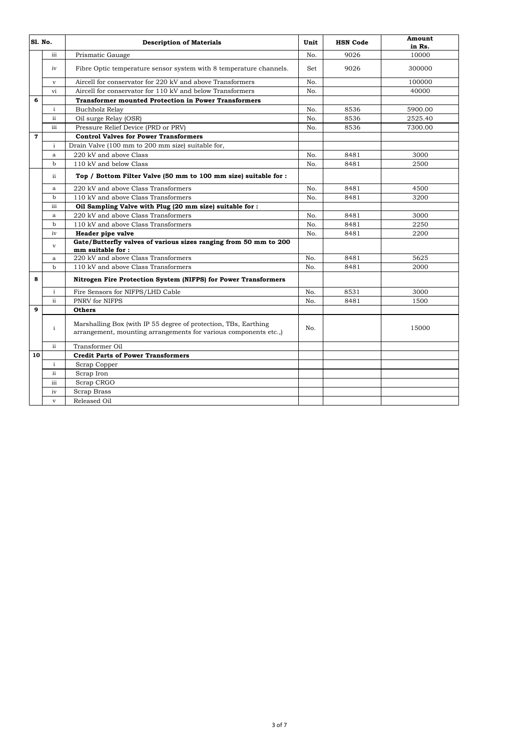| Sl. No.                 |                         | <b>Description of Materials</b>                                                                                                     | Unit | <b>HSN Code</b> | Amount<br>in Rs. |
|-------------------------|-------------------------|-------------------------------------------------------------------------------------------------------------------------------------|------|-----------------|------------------|
|                         | iii                     | Prismatic Gauage                                                                                                                    | No.  | 9026            | 10000            |
|                         | iv                      | Fibre Optic temperature sensor system with 8 temperature channels.                                                                  | Set  | 9026            | 300000           |
|                         | $\mathbf v$             | Aircell for conservator for 220 kV and above Transformers                                                                           | No.  |                 | 100000           |
|                         | vi                      | Aircell for conservator for 110 kV and below Transformers                                                                           | No.  |                 | 40000            |
| 6                       |                         | <b>Transformer mounted Protection in Power Transformers</b>                                                                         |      |                 |                  |
|                         | $\mathbf{i}$            | <b>Buchholz Relay</b>                                                                                                               | No.  | 8536            | 5900.00          |
|                         | ii                      | Oil surge Relay (OSR)                                                                                                               | No.  | 8536            | 2525.40          |
|                         | iii                     | Pressure Relief Device (PRD or PRV)                                                                                                 | No.  | 8536            | 7300.00          |
| $\overline{\mathbf{z}}$ |                         | <b>Control Valves for Power Transformers</b>                                                                                        |      |                 |                  |
|                         | $\mathbf{i}$            | Drain Valve (100 mm to 200 mm size) suitable for,                                                                                   |      |                 |                  |
|                         | $\mathbf{a}$            | 220 kV and above Class                                                                                                              | No.  | 8481            | 3000             |
|                         | b                       | 110 kV and below Class                                                                                                              | No.  | 8481            | 2500             |
|                         | ii                      | Top / Bottom Filter Valve (50 mm to 100 mm size) suitable for :                                                                     |      |                 |                  |
|                         | $\mathbf{a}$            | 220 kV and above Class Transformers                                                                                                 | No.  | 8481            | 4500             |
|                         | $\mathbf b$             | 110 kV and above Class Transformers                                                                                                 | No.  | 8481            | 3200             |
|                         | iii                     | Oil Sampling Valve with Plug (20 mm size) suitable for :                                                                            |      |                 |                  |
|                         | $\mathbf{a}$            | 220 kV and above Class Transformers                                                                                                 | No.  | 8481            | 3000             |
|                         | $\mathbf b$             | 110 kV and above Class Transformers                                                                                                 | No.  | 8481            | 2250             |
|                         | iv                      | Header pipe valve                                                                                                                   | No.  | 8481            | 2200             |
|                         | $\mathbf{v}$            | Gate/Butterfly valves of various sizes ranging from 50 mm to 200<br>mm suitable for :                                               |      |                 |                  |
|                         | a                       | 220 kV and above Class Transformers                                                                                                 | No.  | 8481            | 5625             |
|                         | $\mathbf b$             | 110 kV and above Class Transformers                                                                                                 | No.  | 8481            | 2000             |
| 8                       |                         | Nitrogen Fire Protection System (NIFPS) for Power Transformers                                                                      |      |                 |                  |
|                         | $\mathbf{i}$            | Fire Sensors for NIFPS/LHD Cable                                                                                                    | No.  | 8531            | 3000             |
|                         | ii                      | PNRV for NIFPS                                                                                                                      | No.  | 8481            | 1500             |
| $\mathbf{Q}$            |                         | <b>Others</b>                                                                                                                       |      |                 |                  |
|                         | $\mathbf{i}$            | Marshalling Box (with IP 55 degree of protection, TBs, Earthing<br>arrangement, mounting arrangements for various components etc.,) | No.  |                 | 15000            |
|                         | ii                      | Transformer Oil                                                                                                                     |      |                 |                  |
| 10                      |                         | <b>Credit Parts of Power Transformers</b>                                                                                           |      |                 |                  |
|                         | $\mathbf{i}$            | Scrap Copper                                                                                                                        |      |                 |                  |
|                         | $\mathbf{ii}$           | Scrap Iron                                                                                                                          |      |                 |                  |
|                         | iii                     | Scrap CRGO                                                                                                                          |      |                 |                  |
|                         | iv                      | Scrap Brass                                                                                                                         |      |                 |                  |
|                         | $\overline{\mathbf{v}}$ | Released Oil                                                                                                                        |      |                 |                  |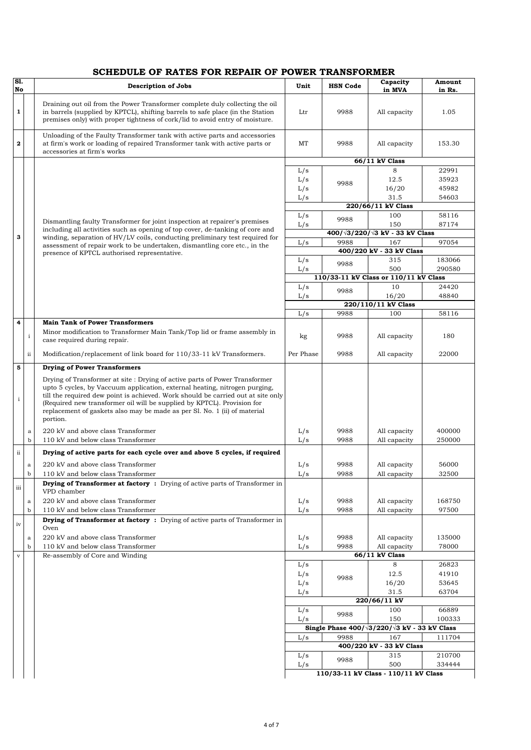## **SCHEDULE OF RATES FOR REPAIR OF POWER TRANSFORMER**

| $\overline{\text{S1}}$ .<br>No |              | <b>Description of Jobs</b>                                                                                                                                                                                                                                                                                                                                                                                       | Unit               | <b>HSN Code</b> | Capacity<br>in MVA                                        | Amount<br>in Rs. |  |
|--------------------------------|--------------|------------------------------------------------------------------------------------------------------------------------------------------------------------------------------------------------------------------------------------------------------------------------------------------------------------------------------------------------------------------------------------------------------------------|--------------------|-----------------|-----------------------------------------------------------|------------------|--|
|                                |              |                                                                                                                                                                                                                                                                                                                                                                                                                  |                    |                 |                                                           |                  |  |
| $\mathbf{1}$                   |              | Draining out oil from the Power Transformer complete duly collecting the oil<br>in barrels (supplied by KPTCL), shifting barrels to safe place (in the Station<br>premises only) with proper tightness of cork/lid to avoid entry of moisture.                                                                                                                                                                   | Ltr                | 9988            | All capacity                                              | 1.05             |  |
| $\mathbf{2}$                   |              | Unloading of the Faulty Transformer tank with active parts and accessories<br>at firm's work or loading of repaired Transformer tank with active parts or<br>accessories at firm's works                                                                                                                                                                                                                         | MT                 | 9988            | All capacity                                              | 153.30           |  |
|                                |              |                                                                                                                                                                                                                                                                                                                                                                                                                  |                    |                 | 66/11 kV Class                                            |                  |  |
|                                |              |                                                                                                                                                                                                                                                                                                                                                                                                                  | L/s                |                 | 8                                                         | 22991            |  |
|                                |              |                                                                                                                                                                                                                                                                                                                                                                                                                  | L/s                |                 | 12.5                                                      | 35923            |  |
|                                |              |                                                                                                                                                                                                                                                                                                                                                                                                                  | L/s                | 9988            | 16/20                                                     | 45982            |  |
|                                |              |                                                                                                                                                                                                                                                                                                                                                                                                                  | L/s                |                 | 31.5                                                      | 54603            |  |
|                                |              |                                                                                                                                                                                                                                                                                                                                                                                                                  |                    |                 | 220/66/11 kV Class                                        |                  |  |
|                                |              |                                                                                                                                                                                                                                                                                                                                                                                                                  | L/s                | 9988            | 100                                                       | 58116            |  |
|                                |              | Dismantling faulty Transformer for joint inspection at repairer's premises<br>including all activities such as opening of top cover, de-tanking of core and                                                                                                                                                                                                                                                      | L/s                |                 | 150                                                       | 87174            |  |
| 3                              |              | winding, separation of HV/LV coils, conducting preliminary test required for                                                                                                                                                                                                                                                                                                                                     |                    |                 | $400/\sqrt{3}/220/\sqrt{3}$ kV - 33 kV Class              |                  |  |
|                                |              | assessment of repair work to be undertaken, dismantling core etc., in the                                                                                                                                                                                                                                                                                                                                        | L/s                | 9988            | 167                                                       | 97054            |  |
|                                |              | presence of KPTCL authorised representative.                                                                                                                                                                                                                                                                                                                                                                     |                    |                 | 400/220 kV - 33 kV Class                                  |                  |  |
|                                |              |                                                                                                                                                                                                                                                                                                                                                                                                                  | L/s                | 9988            | 315                                                       | 183066           |  |
|                                |              |                                                                                                                                                                                                                                                                                                                                                                                                                  | L/s                |                 | 500                                                       | 290580           |  |
|                                |              |                                                                                                                                                                                                                                                                                                                                                                                                                  |                    |                 | 110/33-11 kV Class or 110/11 kV Class                     |                  |  |
|                                |              |                                                                                                                                                                                                                                                                                                                                                                                                                  | L/s                | 9988            | 10                                                        | 24420<br>48840   |  |
|                                |              |                                                                                                                                                                                                                                                                                                                                                                                                                  | L/s                |                 | 16/20<br>220/110/11 kV Class                              |                  |  |
|                                |              |                                                                                                                                                                                                                                                                                                                                                                                                                  | L/s                | 9988            | 100                                                       | 58116            |  |
| 4                              |              | <b>Main Tank of Power Transformers</b>                                                                                                                                                                                                                                                                                                                                                                           |                    |                 |                                                           |                  |  |
|                                | $\mathbf{i}$ | Minor modification to Transformer Main Tank/Top lid or frame assembly in<br>case required during repair.                                                                                                                                                                                                                                                                                                         | kg                 | 9988            | All capacity                                              | 180              |  |
|                                | ii           | Modification/replacement of link board for 110/33-11 kV Transformers.                                                                                                                                                                                                                                                                                                                                            | Per Phase          | 9988            | All capacity                                              | 22000            |  |
| 5                              |              | <b>Drying of Power Transformers</b>                                                                                                                                                                                                                                                                                                                                                                              |                    |                 |                                                           |                  |  |
| $\mathbf{i}$                   |              | Drying of Transformer at site: Drying of active parts of Power Transformer<br>upto 5 cycles, by Vaccuum application, external heating, nitrogen purging,<br>till the required dew point is achieved. Work should be carried out at site only<br>(Required new transformer oil will be supplied by KPTCL). Provision for<br>replacement of gaskets also may be made as per Sl. No. 1 (ii) of material<br>portion. |                    |                 |                                                           |                  |  |
|                                | $\rm{a}$     | 220 kV and above class Transformer                                                                                                                                                                                                                                                                                                                                                                               | L/s                | 9988            | All capacity                                              | 400000           |  |
|                                | $\mathbf b$  | 110 kV and below class Transformer                                                                                                                                                                                                                                                                                                                                                                               | L/s                | 9988            | All capacity                                              | 250000           |  |
| ii                             |              | Drying of active parts for each cycle over and above 5 cycles, if required                                                                                                                                                                                                                                                                                                                                       |                    |                 |                                                           |                  |  |
|                                | $\rm{a}$     | 220 kV and above class Transformer                                                                                                                                                                                                                                                                                                                                                                               | L/s                | 9988            | All capacity                                              | 56000            |  |
|                                | þ            | 110 kV and below class Transformer                                                                                                                                                                                                                                                                                                                                                                               | L/s                | 9988            | All capacity                                              | 32500            |  |
| iii                            |              | <b>Drying of Transformer at factory</b> : Drying of active parts of Transformer in<br>VPD chamber                                                                                                                                                                                                                                                                                                                |                    |                 |                                                           |                  |  |
|                                | a            | 220 kV and above class Transformer                                                                                                                                                                                                                                                                                                                                                                               | L/s                | 9988            | All capacity                                              | 168750           |  |
|                                | $\mathbf b$  | 110 kV and below class Transformer                                                                                                                                                                                                                                                                                                                                                                               | L/s                | 9988            | All capacity                                              | 97500            |  |
| iv                             |              | <b>Drying of Transformer at factory</b> : Drying of active parts of Transformer in<br>Oven                                                                                                                                                                                                                                                                                                                       |                    |                 |                                                           |                  |  |
|                                | $\rm{a}$     | 220 kV and above class Transformer                                                                                                                                                                                                                                                                                                                                                                               | L/s                | 9988            | All capacity                                              | 135000           |  |
|                                | $\mathbf b$  | 110 kV and below class Transformer                                                                                                                                                                                                                                                                                                                                                                               | L/s                | 9988            | All capacity                                              | 78000            |  |
| $\mathbf v$                    |              | Re-assembly of Core and Winding                                                                                                                                                                                                                                                                                                                                                                                  |                    |                 | 66/11 kV Class                                            |                  |  |
|                                |              |                                                                                                                                                                                                                                                                                                                                                                                                                  | L/s                |                 | 8                                                         | 26823            |  |
|                                |              |                                                                                                                                                                                                                                                                                                                                                                                                                  | L/s                | 9988            | 12.5                                                      | 41910            |  |
|                                |              |                                                                                                                                                                                                                                                                                                                                                                                                                  | L/s                |                 | 16/20                                                     | 53645            |  |
|                                |              |                                                                                                                                                                                                                                                                                                                                                                                                                  | L/s                |                 | 31.5                                                      | 63704            |  |
|                                |              |                                                                                                                                                                                                                                                                                                                                                                                                                  |                    |                 | 220/66/11 kV                                              |                  |  |
|                                |              |                                                                                                                                                                                                                                                                                                                                                                                                                  | L/s                | 9988            | 100                                                       | 66889            |  |
|                                |              |                                                                                                                                                                                                                                                                                                                                                                                                                  | L/s                |                 | 150                                                       | 100333           |  |
|                                |              |                                                                                                                                                                                                                                                                                                                                                                                                                  |                    |                 | Single Phase $400/\sqrt{3}/220/\sqrt{3}$ kV - 33 kV Class |                  |  |
|                                |              |                                                                                                                                                                                                                                                                                                                                                                                                                  | 9988<br>167<br>L/s |                 |                                                           | 111704           |  |
|                                |              | 400/220 kV - 33 kV Class                                                                                                                                                                                                                                                                                                                                                                                         |                    |                 |                                                           |                  |  |
|                                |              |                                                                                                                                                                                                                                                                                                                                                                                                                  | L/s                | 9988            | 315                                                       | 210700           |  |
|                                |              |                                                                                                                                                                                                                                                                                                                                                                                                                  | L/s                |                 | 500                                                       | 334444           |  |
|                                |              |                                                                                                                                                                                                                                                                                                                                                                                                                  |                    |                 | 110/33-11 kV Class - 110/11 kV Class                      |                  |  |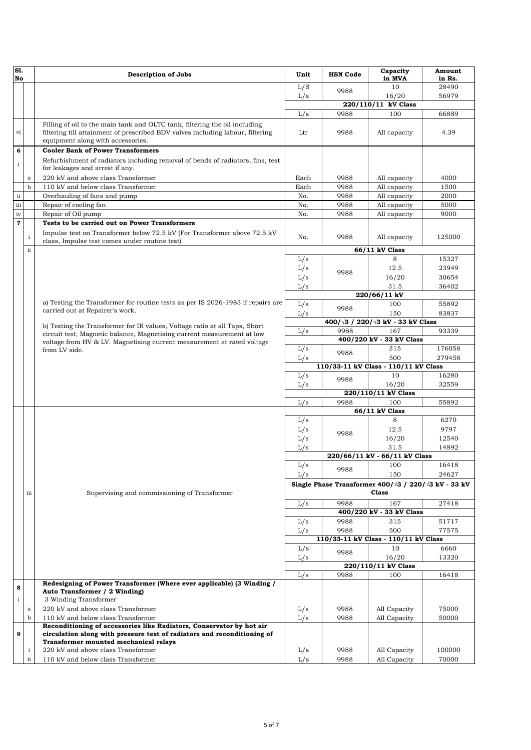| SI.<br>No               |                  | <b>Description of Jobs</b>                                                                                                                                                                        | Unit                                                                 | <b>HSN Code</b>     | Capacity<br>in MVA                                | Amount<br>in Rs. |  |  |
|-------------------------|------------------|---------------------------------------------------------------------------------------------------------------------------------------------------------------------------------------------------|----------------------------------------------------------------------|---------------------|---------------------------------------------------|------------------|--|--|
|                         |                  |                                                                                                                                                                                                   | L/S                                                                  |                     | 10                                                | 28490            |  |  |
|                         |                  |                                                                                                                                                                                                   | L/s                                                                  | 9988                | 16/20                                             | 56979            |  |  |
|                         |                  |                                                                                                                                                                                                   |                                                                      |                     | 220/110/11 kV Class                               |                  |  |  |
|                         |                  |                                                                                                                                                                                                   | 9988<br>L/s                                                          |                     | 100                                               | 66889            |  |  |
| vi                      |                  | Filling of oil to the main tank and OLTC tank, filtering the oil including<br>filtering till attainment of prescribed BDV valves including labour, filtering<br>equipment along with accessories. | Ltr                                                                  | 9988                | All capacity                                      | 4.39             |  |  |
| 6                       |                  | <b>Cooler Bank of Power Transformers</b>                                                                                                                                                          |                                                                      |                     |                                                   |                  |  |  |
| $\mathbf{i}$            |                  | Refurbishment of radiators including removal of bends of radiators, fins, test<br>for leakages and arrest if any.                                                                                 |                                                                      |                     |                                                   |                  |  |  |
|                         | $\rm{a}$         | 220 kV and above class Transformer                                                                                                                                                                | Each                                                                 | 9988                | All capacity                                      | 4000             |  |  |
|                         | $\mathbf b$      | 110 kV and below class Transformer                                                                                                                                                                | Each                                                                 | 9988                | All capacity                                      | 1500             |  |  |
| $\mathbf{ii}$           |                  | Overhauling of fans and pump                                                                                                                                                                      | No.                                                                  | 9988                | All capacity                                      | 2000             |  |  |
| $\rm iii$               |                  | Repair of cooling fan                                                                                                                                                                             | No.                                                                  | 9988                | All capacity                                      | 5000             |  |  |
| iv                      |                  | Repair of Oil pump                                                                                                                                                                                | No.                                                                  | 9988                | All capacity                                      | 9000             |  |  |
| $\overline{\mathbf{r}}$ |                  | Tests to be carried out on Power Transformers                                                                                                                                                     |                                                                      |                     |                                                   |                  |  |  |
|                         | $\rm i$          | Impulse test on Transformer below 72.5 kV (For Transformer above 72.5 kV)<br>class, Impulse test comes under routine test)                                                                        | No.                                                                  | 9988                | All capacity                                      | 125000           |  |  |
|                         | $\mathbf{ii}$    |                                                                                                                                                                                                   |                                                                      |                     | 66/11 kV Class                                    |                  |  |  |
|                         |                  |                                                                                                                                                                                                   | L/s                                                                  |                     | 8                                                 | 15327            |  |  |
|                         |                  |                                                                                                                                                                                                   | L/s                                                                  | 9988                | 12.5                                              | 23949            |  |  |
|                         |                  |                                                                                                                                                                                                   | L/s                                                                  |                     | 16/20                                             | 30654            |  |  |
|                         |                  |                                                                                                                                                                                                   | L/s                                                                  |                     | 31.5                                              | 36402            |  |  |
|                         |                  |                                                                                                                                                                                                   |                                                                      |                     | 220/66/11 kV                                      |                  |  |  |
|                         |                  | a) Testing the Transformer for routine tests as per IS 2026-1983 if repairs are                                                                                                                   | L/s                                                                  | 9988                | 100                                               | 55892            |  |  |
|                         |                  | carried out at Repairer's work.                                                                                                                                                                   | L/s                                                                  |                     | 150                                               | 83837            |  |  |
|                         |                  | b) Testing the Transformer for IR values, Voltage ratio at all Taps, Short                                                                                                                        |                                                                      |                     | $400/\sqrt{3}$ / 220/ $\sqrt{3}$ kV - 33 kV Class |                  |  |  |
|                         |                  | circuit test, Magnetic balance, Magnetising current measurement at low                                                                                                                            | L/s                                                                  | 9988                | 167                                               | 93339            |  |  |
|                         |                  | voltage from HV & LV. Magnetising current measurement at rated voltage<br>from LV side.                                                                                                           |                                                                      |                     | 400/220 kV - 33 kV Class                          |                  |  |  |
|                         |                  |                                                                                                                                                                                                   | L/s                                                                  | 9988                | 315                                               | 176058           |  |  |
|                         |                  |                                                                                                                                                                                                   | L/s                                                                  |                     | 500                                               | 279458           |  |  |
|                         |                  |                                                                                                                                                                                                   |                                                                      |                     | 110/33-11 kV Class - 110/11 kV Class              |                  |  |  |
|                         |                  |                                                                                                                                                                                                   | L/s                                                                  | 9988                | 10                                                | 16280            |  |  |
|                         |                  |                                                                                                                                                                                                   | L/s                                                                  |                     | 16/20                                             | 32559            |  |  |
|                         |                  |                                                                                                                                                                                                   |                                                                      |                     | 220/110/11 kV Class                               |                  |  |  |
|                         |                  |                                                                                                                                                                                                   | L/s                                                                  | 9988                | 100                                               | 55892            |  |  |
|                         |                  |                                                                                                                                                                                                   |                                                                      |                     | 66/11 kV Class                                    |                  |  |  |
|                         |                  |                                                                                                                                                                                                   | L/s                                                                  |                     | 8                                                 | 6270             |  |  |
|                         |                  |                                                                                                                                                                                                   | L/s                                                                  | 9988                | 12.5                                              | 9797             |  |  |
|                         |                  |                                                                                                                                                                                                   | L/s                                                                  |                     | 16/20                                             | 12540            |  |  |
|                         |                  |                                                                                                                                                                                                   | L/s                                                                  |                     | 31.5                                              | 14892            |  |  |
|                         |                  |                                                                                                                                                                                                   | 220/66/11 kV - 66/11 kV Class                                        |                     |                                                   |                  |  |  |
|                         |                  |                                                                                                                                                                                                   | L/s                                                                  | 9988                | 100                                               | 16418            |  |  |
|                         |                  |                                                                                                                                                                                                   |                                                                      | L/s<br>150<br>24627 |                                                   |                  |  |  |
|                         |                  |                                                                                                                                                                                                   | Single Phase Transformer $400/\sqrt{3}$ / 220/ $\sqrt{3}$ kV - 33 kV |                     |                                                   |                  |  |  |
|                         | iii              | Supervising and commissioning of Transformer                                                                                                                                                      |                                                                      |                     | <b>Class</b>                                      |                  |  |  |
|                         |                  |                                                                                                                                                                                                   | L/s                                                                  | 9988                | 167                                               | 27418            |  |  |
|                         |                  |                                                                                                                                                                                                   |                                                                      |                     | 400/220 kV - 33 kV Class                          |                  |  |  |
|                         |                  |                                                                                                                                                                                                   | L/s                                                                  | 9988                | 315                                               | 51717            |  |  |
|                         |                  |                                                                                                                                                                                                   | L/s                                                                  | 9988                | 500<br>110/33-11 kV Class - 110/11 kV Class       | 77575            |  |  |
|                         |                  |                                                                                                                                                                                                   |                                                                      |                     | 10                                                |                  |  |  |
|                         |                  |                                                                                                                                                                                                   | L/s                                                                  | 9988                |                                                   | 6660             |  |  |
|                         |                  |                                                                                                                                                                                                   | L/s                                                                  |                     | 16/20<br>220/110/11 kV Class                      | 13320            |  |  |
|                         |                  |                                                                                                                                                                                                   | L/s                                                                  | 9988                | 100                                               | 16418            |  |  |
| 8                       |                  | Redesigning of Power Transformer (Where ever applicable) (3 Winding /<br>Auto Transformer / 2 Winding)                                                                                            |                                                                      |                     |                                                   |                  |  |  |
| i                       |                  | 3 Winding Transformer<br>220 kV and above class Transformer                                                                                                                                       |                                                                      | 9988                |                                                   | 75000            |  |  |
|                         | a<br>$\mathbf b$ | 110 kV and below class Transformer                                                                                                                                                                | L/s                                                                  | 9988                | All Capacity                                      |                  |  |  |
|                         |                  | Reconditioning of accessories like Radiators, Conservator by hot air                                                                                                                              | L/s                                                                  |                     | All Capacity                                      | 50000            |  |  |
| 9                       |                  | circulation along with pressure test of radiators and reconditioning of<br>Transformer mounted mechanical relays                                                                                  |                                                                      |                     |                                                   |                  |  |  |
|                         | $\mathbf{i}$     | 220 kV and above class Transformer                                                                                                                                                                | L/s                                                                  | 9988                | All Capacity                                      | 100000           |  |  |
|                         | ii               | 110 kV and below class Transformer                                                                                                                                                                | L/s                                                                  | 9988                | All Capacity                                      | 70000            |  |  |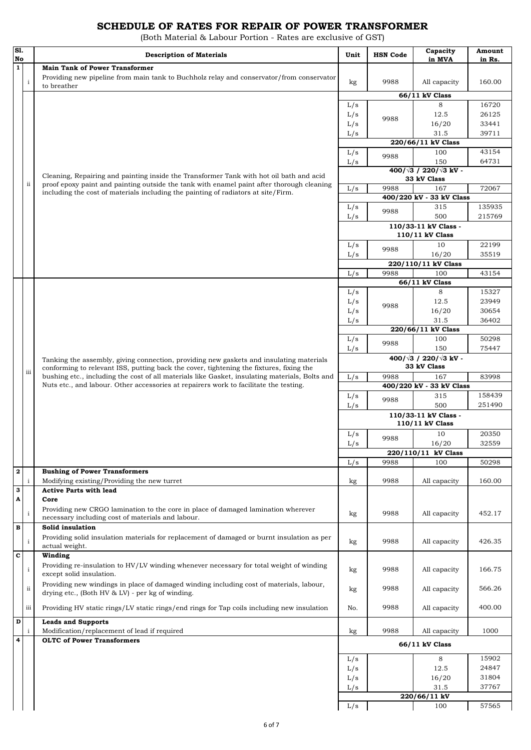## **SCHEDULE OF RATES FOR REPAIR OF POWER TRANSFORMER**

(Both Material & Labour Portion - Rates are exclusive of GST)

| S1.                     |               | <b>Description of Materials</b>                                                                                                                                                           | Unit                                    | <b>HSN</b> Code                                      | Capacity                                     | Amount         |  |
|-------------------------|---------------|-------------------------------------------------------------------------------------------------------------------------------------------------------------------------------------------|-----------------------------------------|------------------------------------------------------|----------------------------------------------|----------------|--|
| No<br>$\mathbf{1}$      |               | <b>Main Tank of Power Transformer</b>                                                                                                                                                     |                                         |                                                      | in MVA                                       | in Rs.         |  |
|                         | $\rm i$       | Providing new pipeline from main tank to Buchholz relay and conservator/from conservator<br>to breather                                                                                   | kg                                      | 9988                                                 | All capacity                                 | 160.00         |  |
|                         |               |                                                                                                                                                                                           |                                         |                                                      | 66/11 kV Class                               |                |  |
|                         |               |                                                                                                                                                                                           | L/s                                     |                                                      | 8                                            | 16720          |  |
|                         |               |                                                                                                                                                                                           | L/s                                     | 9988                                                 | 12.5                                         | 26125          |  |
|                         |               |                                                                                                                                                                                           | L/s                                     |                                                      | 16/20                                        | 33441          |  |
|                         |               |                                                                                                                                                                                           | L/s                                     |                                                      | 31.5                                         | 39711          |  |
|                         |               |                                                                                                                                                                                           |                                         |                                                      | 220/66/11 kV Class                           |                |  |
|                         |               |                                                                                                                                                                                           | L/s                                     | 9988                                                 | 100                                          | 43154          |  |
|                         |               |                                                                                                                                                                                           | L/s                                     |                                                      | 150<br>$400/\sqrt{3}$ / 220/ $\sqrt{3}$ kV - | 64731          |  |
|                         |               | Cleaning, Repairing and painting inside the Transformer Tank with hot oil bath and acid                                                                                                   |                                         |                                                      | 33 kV Class                                  |                |  |
|                         | $\mathbf{ii}$ | proof epoxy paint and painting outside the tank with enamel paint after thorough cleaning                                                                                                 | L/s                                     | 9988                                                 | 167                                          | 72067          |  |
|                         |               | including the cost of materials including the painting of radiators at site/Firm.                                                                                                         |                                         |                                                      | 400/220 kV - 33 kV Class                     |                |  |
|                         |               |                                                                                                                                                                                           | L/s                                     | 9988                                                 | 315                                          | 135935         |  |
|                         |               |                                                                                                                                                                                           | L/s                                     |                                                      | 500                                          | 215769         |  |
|                         |               |                                                                                                                                                                                           |                                         |                                                      | 110/33-11 kV Class -                         |                |  |
|                         |               |                                                                                                                                                                                           |                                         |                                                      | 110/11 kV Class                              |                |  |
|                         |               |                                                                                                                                                                                           | L/s                                     | 9988                                                 | 10                                           | 22199          |  |
|                         |               |                                                                                                                                                                                           | L/s                                     |                                                      | 16/20                                        | 35519          |  |
|                         |               |                                                                                                                                                                                           |                                         |                                                      | 220/110/11 kV Class                          |                |  |
|                         |               |                                                                                                                                                                                           | L/s                                     | 9988                                                 | 100                                          | 43154          |  |
|                         |               |                                                                                                                                                                                           |                                         |                                                      | 66/11 kV Class                               |                |  |
|                         |               |                                                                                                                                                                                           | L/s                                     |                                                      | 8                                            | 15327<br>23949 |  |
|                         |               |                                                                                                                                                                                           | L/s                                     | 9988                                                 | 12.5                                         | 30654          |  |
|                         |               |                                                                                                                                                                                           | L/s<br>L/s                              |                                                      | 16/20<br>31.5                                | 36402          |  |
|                         |               |                                                                                                                                                                                           |                                         |                                                      | 220/66/11 kV Class                           |                |  |
|                         |               |                                                                                                                                                                                           | L/s                                     |                                                      | 100                                          | 50298          |  |
|                         |               |                                                                                                                                                                                           | L/s                                     | 9988                                                 | 150                                          | 75447          |  |
|                         |               | Tanking the assembly, giving connection, providing new gaskets and insulating materials                                                                                                   |                                         | $400/\sqrt{3}$ / 220/ $\sqrt{3}$ kV -<br>33 kV Class |                                              |                |  |
|                         | iii           | conforming to relevant ISS, putting back the cover, tightening the fixtures, fixing the<br>bushing etc., including the cost of all materials like Gasket, insulating materials, Bolts and | L/s                                     | 9988                                                 | 167<br>83998                                 |                |  |
|                         |               | Nuts etc., and labour. Other accessories at repairers work to facilitate the testing.                                                                                                     |                                         |                                                      | 400/220 kV - 33 kV Class                     |                |  |
|                         |               |                                                                                                                                                                                           | L/s                                     | 9988                                                 | 315                                          | 158439         |  |
|                         |               |                                                                                                                                                                                           | L/s                                     |                                                      | 500                                          | 251490         |  |
|                         |               |                                                                                                                                                                                           | 110/33-11 kV Class -<br>110/11 kV Class |                                                      |                                              |                |  |
|                         |               |                                                                                                                                                                                           | L/s                                     | 9988                                                 | 10                                           | 20350          |  |
|                         |               |                                                                                                                                                                                           | L/s                                     |                                                      | 16/20                                        | 32559          |  |
|                         |               |                                                                                                                                                                                           |                                         |                                                      | 220/110/11 kV Class                          |                |  |
|                         |               |                                                                                                                                                                                           | L/s                                     | 9988                                                 | 100                                          | 50298          |  |
| $\overline{\mathbf{2}}$ | $\mathbf i$   | <b>Bushing of Power Transformers</b><br>Modifying existing/Providing the new turret                                                                                                       |                                         |                                                      |                                              |                |  |
| 3                       |               | <b>Active Parts with lead</b>                                                                                                                                                             | kg                                      | 9988                                                 | All capacity                                 | 160.00         |  |
| A                       |               | Core                                                                                                                                                                                      |                                         |                                                      |                                              |                |  |
|                         |               | Providing new CRGO lamination to the core in place of damaged lamination wherever                                                                                                         |                                         |                                                      |                                              |                |  |
|                         | $\rm i$       | necessary including cost of materials and labour.                                                                                                                                         | kg                                      | 9988                                                 | All capacity                                 | 452.17         |  |
| $\, {\bf B}$            |               | Solid insulation                                                                                                                                                                          |                                         |                                                      |                                              |                |  |
|                         |               | Providing solid insulation materials for replacement of damaged or burnt insulation as per                                                                                                |                                         |                                                      |                                              |                |  |
|                         | $\rm i$       | actual weight.                                                                                                                                                                            | kg                                      | 9988                                                 | All capacity                                 | 426.35         |  |
| $\mathbf c$             |               | Winding                                                                                                                                                                                   |                                         |                                                      |                                              |                |  |
|                         | $\rm i$       | Providing re-insulation to HV/LV winding whenever necessary for total weight of winding<br>except solid insulation.                                                                       | kg                                      | 9988                                                 | All capacity                                 | 166.75         |  |
|                         | $\rm ii$      | Providing new windings in place of damaged winding including cost of materials, labour,<br>drying etc., (Both HV & LV) - per kg of winding.                                               | kg                                      | 9988                                                 | All capacity                                 | 566.26         |  |
|                         | iii           | Providing HV static rings/LV static rings/end rings for Tap coils including new insulation                                                                                                | No.                                     | 9988                                                 | All capacity                                 | 400.00         |  |
| D                       |               | <b>Leads and Supports</b>                                                                                                                                                                 |                                         |                                                      |                                              |                |  |
| 4                       | $\mathbf{i}$  | Modification/replacement of lead if required<br><b>OLTC</b> of Power Transformers                                                                                                         | kg                                      | 9988                                                 | All capacity                                 | 1000           |  |
|                         |               |                                                                                                                                                                                           |                                         |                                                      | 66/11 kV Class                               |                |  |
|                         |               |                                                                                                                                                                                           | L/s                                     |                                                      | 8                                            | 15902          |  |
|                         |               |                                                                                                                                                                                           | L/s                                     |                                                      | 12.5                                         | 24847          |  |
|                         |               |                                                                                                                                                                                           | L/s                                     |                                                      | 16/20                                        | 31804          |  |
|                         |               |                                                                                                                                                                                           | L/s                                     |                                                      | 31.5                                         | 37767          |  |
|                         |               |                                                                                                                                                                                           |                                         |                                                      | 220/66/11 kV                                 |                |  |
|                         |               |                                                                                                                                                                                           | L/s                                     |                                                      | 100                                          | 57565          |  |